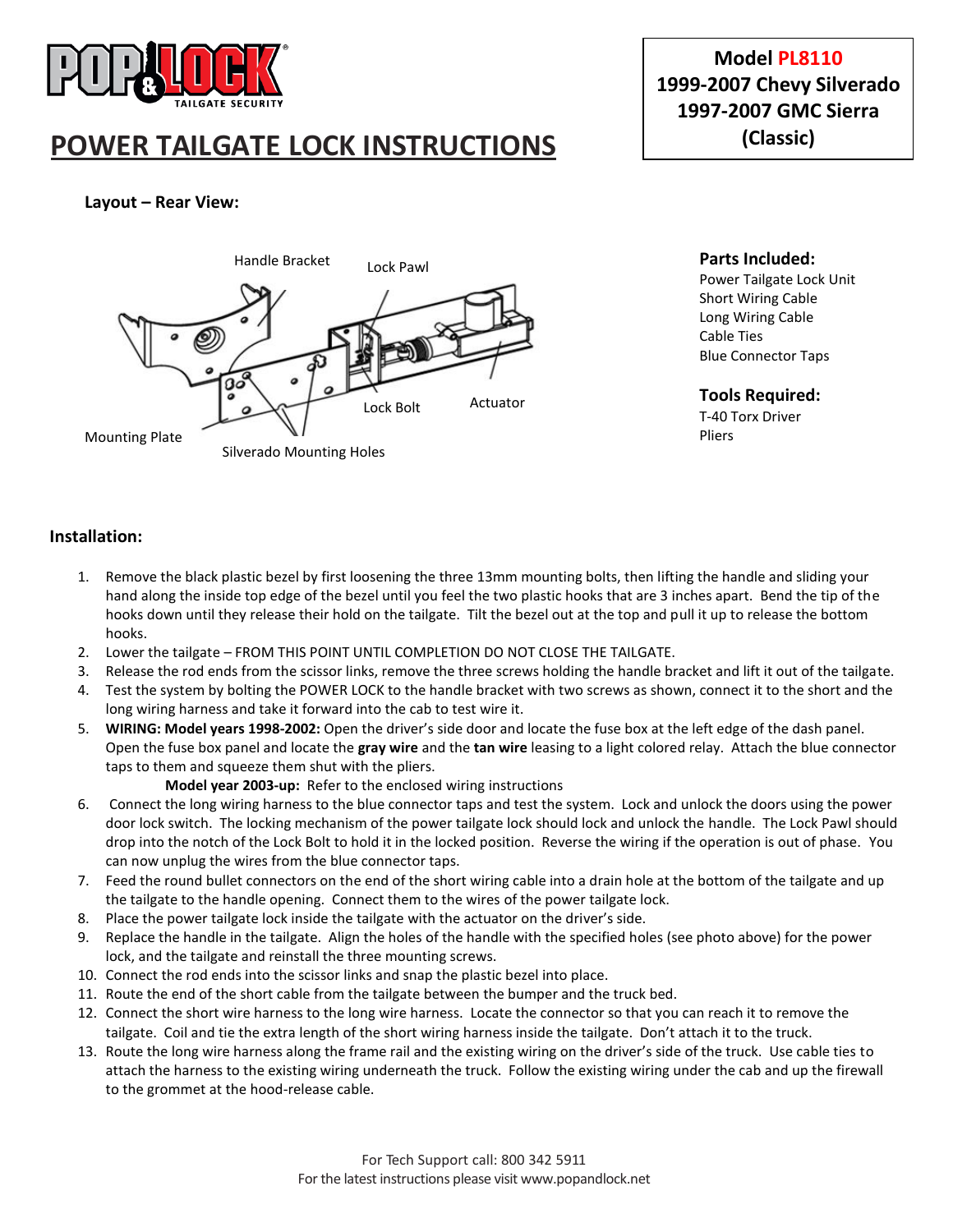

# **POWER TAILGATE LOCK INSTRUCTIONS**

# **Model PL8110 1999-2007 Chevy Silverado 1997-2007 GMC Sierra (Classic)**

# **Layout – Rear View:**



**Parts Included:** Power Tailgate Lock Unit Short Wiring Cable Long Wiring Cable Cable Ties Blue Connector Taps

#### **Tools Required:** T-40 Torx Driver Pliers

#### **Installation:**

- 1. Remove the black plastic bezel by first loosening the three 13mm mounting bolts, then lifting the handle and sliding your hand along the inside top edge of the bezel until you feel the two plastic hooks that are 3 inches apart. Bend the tip of the hooks down until they release their hold on the tailgate. Tilt the bezel out at the top and pull it up to release the bottom hooks.
- 2. Lower the tailgate FROM THIS POINT UNTIL COMPLETION DO NOT CLOSE THE TAILGATE.
- 3. Release the rod ends from the scissor links, remove the three screws holding the handle bracket and lift it out of the tailgate.
- 4. Test the system by bolting the POWER LOCK to the handle bracket with two screws as shown, connect it to the short and the long wiring harness and take it forward into the cab to test wire it.
- 5. **WIRING: Model years 1998-2002:** Open the driver's side door and locate the fuse box at the left edge of the dash panel. Open the fuse box panel and locate the **gray wire** and the **tan wire** leasing to a light colored relay. Attach the blue connector taps to them and squeeze them shut with the pliers.

**Model year 2003-up:** Refer to the enclosed wiring instructions

- 6. Connect the long wiring harness to the blue connector taps and test the system. Lock and unlock the doors using the power door lock switch. The locking mechanism of the power tailgate lock should lock and unlock the handle. The Lock Pawl should drop into the notch of the Lock Bolt to hold it in the locked position. Reverse the wiring if the operation is out of phase. You can now unplug the wires from the blue connector taps.
- 7. Feed the round bullet connectors on the end of the short wiring cable into a drain hole at the bottom of the tailgate and up the tailgate to the handle opening. Connect them to the wires of the power tailgate lock.
- 8. Place the power tailgate lock inside the tailgate with the actuator on the driver's side.
- 9. Replace the handle in the tailgate. Align the holes of the handle with the specified holes (see photo above) for the power lock, and the tailgate and reinstall the three mounting screws.
- 10. Connect the rod ends into the scissor links and snap the plastic bezel into place.
- 11. Route the end of the short cable from the tailgate between the bumper and the truck bed.
- 12. Connect the short wire harness to the long wire harness. Locate the connector so that you can reach it to remove the tailgate. Coil and tie the extra length of the short wiring harness inside the tailgate. Don't attach it to the truck.
- 13. Route the long wire harness along the frame rail and the existing wiring on the driver's side of the truck. Use cable ties to attach the harness to the existing wiring underneath the truck. Follow the existing wiring under the cab and up the firewall to the grommet at the hood-release cable.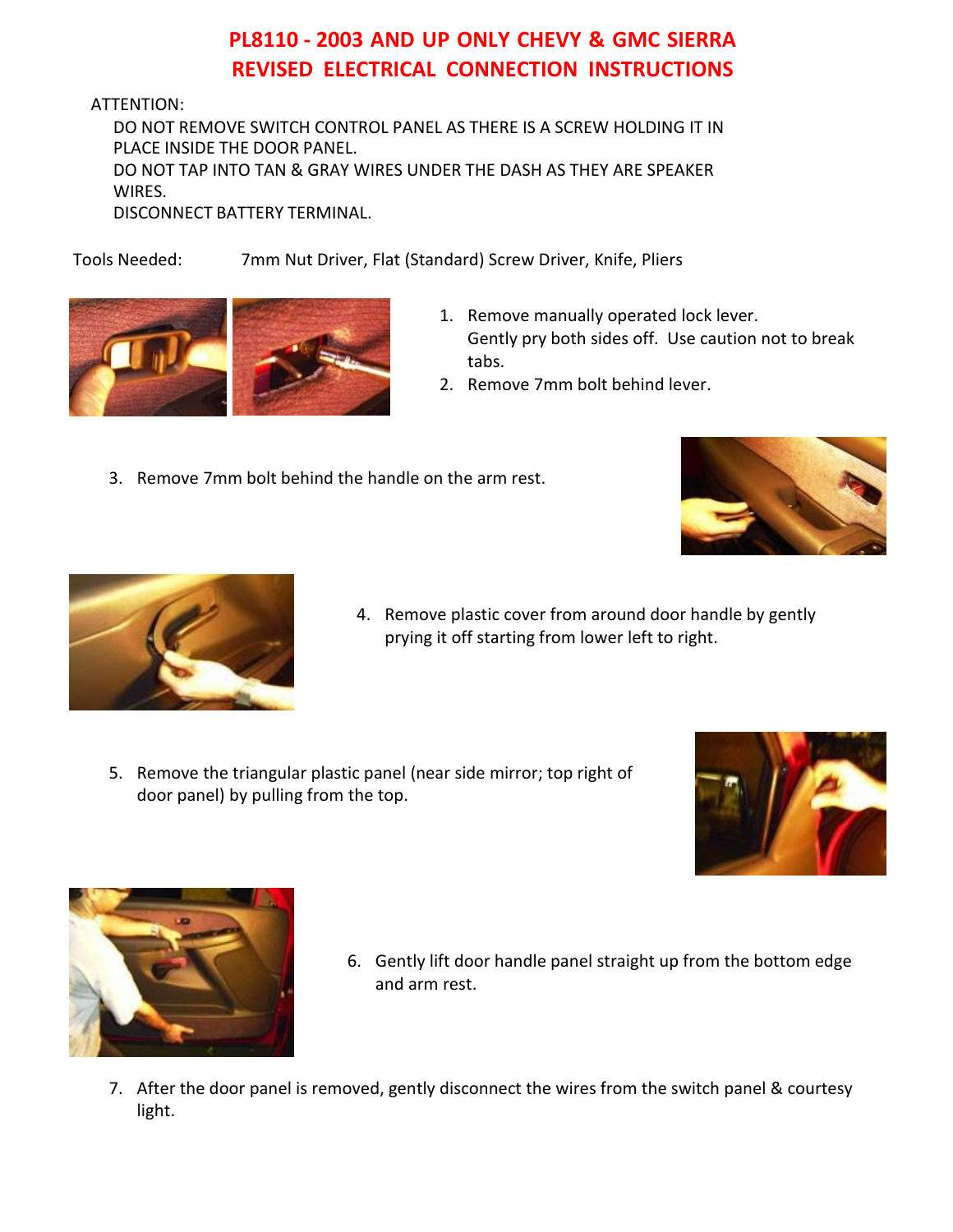# **PL8110 - 2003 AND UP ONLY CHEVY & GMC SIERRA REVISED ELECTRICAL CONNECTION INSTRUCTIONS**

ATTENTION:

DO NOT REMOVE SWITCH CONTROL PANEL AS THERE IS A SCREW HOLDING IT IN PLACE INSIDE THE DOOR PANEL. DO NOT TAP INTO TAN & GRAY WIRES UNDER THE DASH AS THEY ARE SPEAKER WIRES.

DISCONNECT BATTERY TERMINAL.

Tools Needed: 7mm Nut Driver, Flat (Standard) Screw Driver, Knife, Pliers



- 1. Remove manually operated lock lever. Gently pry both sides off. Use caution not to break tabs.
- 2. Remove 7mm bolt behind lever.
- 3. Remove 7mm bolt behind the handle on the arm rest.





- 4. Remove plastic cover from around door handle by gently prying it off starting from lower left to right.
- 5. Remove the triangular plastic panel (near side mirror; top right of door panel) by pulling from the top.





- 6. Gently lift door handle panel straight up from the bottom edge and arm rest.
- 7. After the door panel is removed, gently disconnect the wires from the switch panel & courtesy light.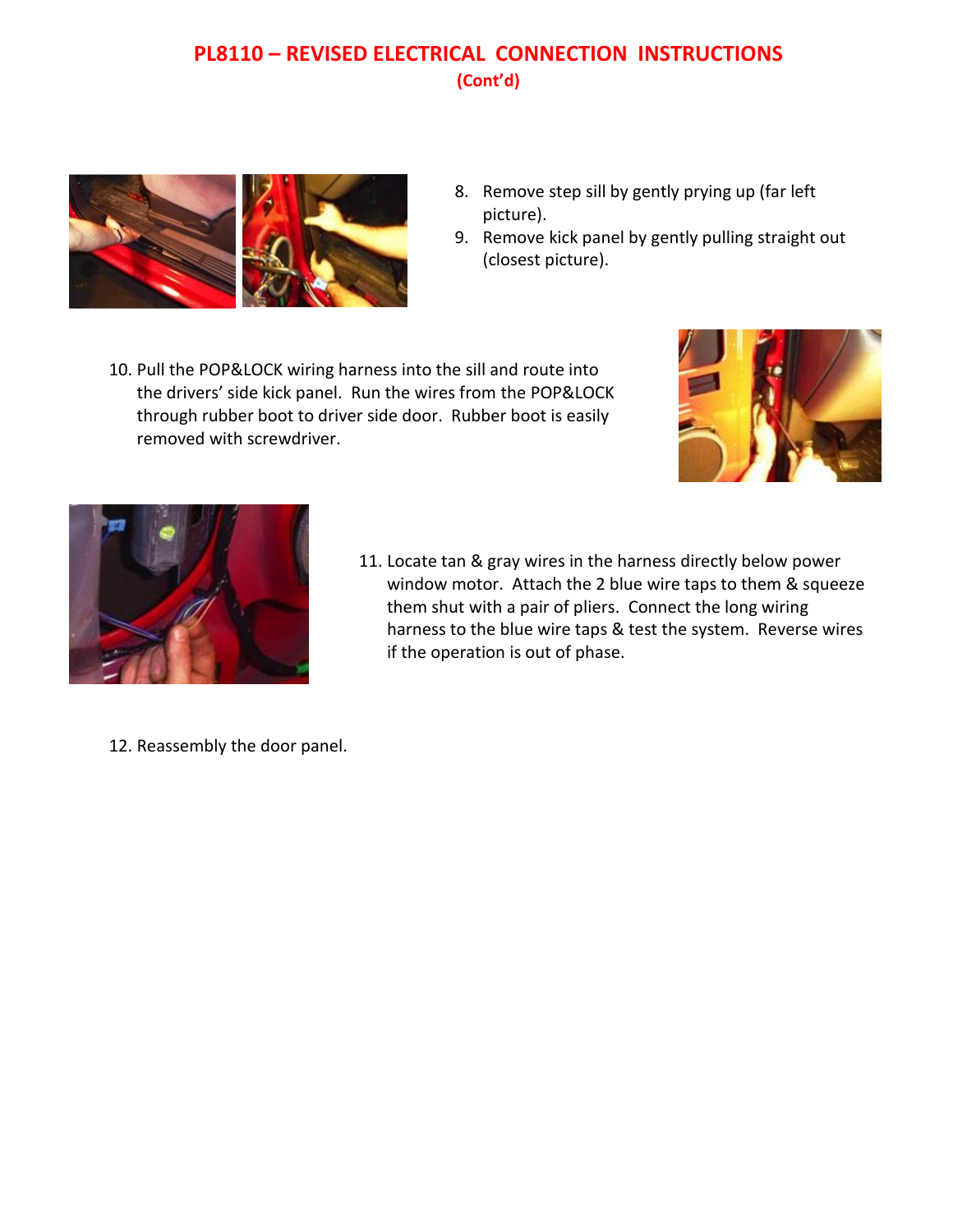# **PL8110 – REVISED ELECTRICAL CONNECTION INSTRUCTIONS (Cont'd)**



- 8. Remove step sill by gently prying up (far left picture).
- 9. Remove kick panel by gently pulling straight out (closest picture).
- 10. Pull the POP&LOCK wiring harness into the sill and route into the drivers' side kick panel. Run the wires from the POP&LOCK through rubber boot to driver side door. Rubber boot is easily removed with screwdriver.





- 11. Locate tan & gray wires in the harness directly below power window motor. Attach the 2 blue wire taps to them & squeeze them shut with a pair of pliers. Connect the long wiring harness to the blue wire taps & test the system. Reverse wires if the operation is out of phase.
- 12. Reassembly the door panel.